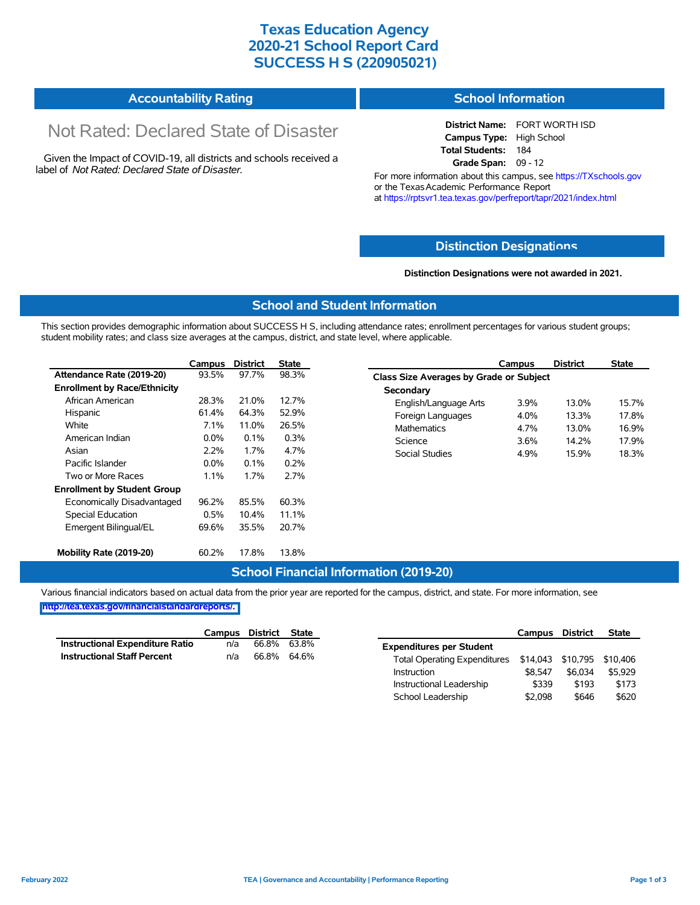### **Texas Education Agency 2020-21 School Report Card SUCCESS H S (220905021)**

| <b>Accountability Rating</b> | <b>School Information</b> |
|------------------------------|---------------------------|
|                              |                           |

# Not Rated: Declared State of Disaster

Given the Impact of COVID-19, all districts and schools received a label of *Not Rated: Declared State of Disaster.*

**District Name:** FORT WORTH ISD **Campus Type:** High School **Total Students:** 184 **Grade Span:** 09 - 12

For more information about this campus, see https://TXschools.gov or the Texas Academic Performance Report at https://rptsvr1.tea.texas.gov/perfreport/tapr/2021/index.html

#### **Distinction Designat[ions](https://TXschools.gov)**

**Distinction Designations were not awarded in 2021.**

School Leadership  $$2,098$  \$646 \$620

#### **School and Student Information**

This section provides demographic information about SUCCESS H S, including attendance rates; enrollment percentages for various student groups; student mobility rates; and class size averages at the campus, district, and state level, where applicable.

|                                     | Campus  | <b>District</b> | <b>State</b> | <b>District</b><br>Campus               | <b>State</b> |
|-------------------------------------|---------|-----------------|--------------|-----------------------------------------|--------------|
| Attendance Rate (2019-20)           | 93.5%   | 97.7%           | 98.3%        | Class Size Averages by Grade or Subject |              |
| <b>Enrollment by Race/Ethnicity</b> |         |                 |              | Secondary                               |              |
| African American                    | 28.3%   | 21.0%           | 12.7%        | 3.9%<br>13.0%<br>English/Language Arts  | 15.7%        |
| Hispanic                            | 61.4%   | 64.3%           | 52.9%        | 4.0%<br>Foreign Languages<br>13.3%      | 17.8%        |
| White                               | 7.1%    | 11.0%           | 26.5%        | <b>Mathematics</b><br>13.0%<br>4.7%     | 16.9%        |
| American Indian                     | $0.0\%$ | 0.1%            | 0.3%         | Science<br>3.6%<br>14.2%                | 17.9%        |
| Asian                               | 2.2%    | 1.7%            | 4.7%         | <b>Social Studies</b><br>4.9%<br>15.9%  | 18.3%        |
| Pacific Islander                    | $0.0\%$ | 0.1%            | 0.2%         |                                         |              |
| Two or More Races                   | 1.1%    | 1.7%            | 2.7%         |                                         |              |
| <b>Enrollment by Student Group</b>  |         |                 |              |                                         |              |
| Economically Disadvantaged          | 96.2%   | 85.5%           | 60.3%        |                                         |              |
| Special Education                   | 0.5%    | 10.4%           | 11.1%        |                                         |              |
| Emergent Bilingual/EL               | 69.6%   | 35.5%           | 20.7%        |                                         |              |
| Mobility Rate (2019-20)             | 60.2%   | 17.8%           | 13.8%        |                                         |              |

#### **School Financial Information (2019-20)**

Various financial indicators based on actual data from the prior year are reported for the campus, district, and state. For more information, see

**[http://tea.texas.gov/financialstandardreports/.](http://tea.texas.gov/financialstandardreports/)**

|                                        | Campus | District | State       |                                     | Campus                     | <b>District</b> | <b>State</b> |
|----------------------------------------|--------|----------|-------------|-------------------------------------|----------------------------|-----------------|--------------|
| <b>Instructional Expenditure Ratio</b> | n/a    | 66.8%    | 63.8%       | <b>Expenditures per Student</b>     |                            |                 |              |
| <b>Instructional Staff Percent</b>     | n/a    |          | 66.8% 64.6% | <b>Total Operating Expenditures</b> | \$14,043 \$10,795 \$10,406 |                 |              |
|                                        |        |          |             | Instruction                         | \$8.547                    | \$6.034         | \$5.929      |
|                                        |        |          |             | Instructional Leadership            | \$339                      | \$193           | \$173        |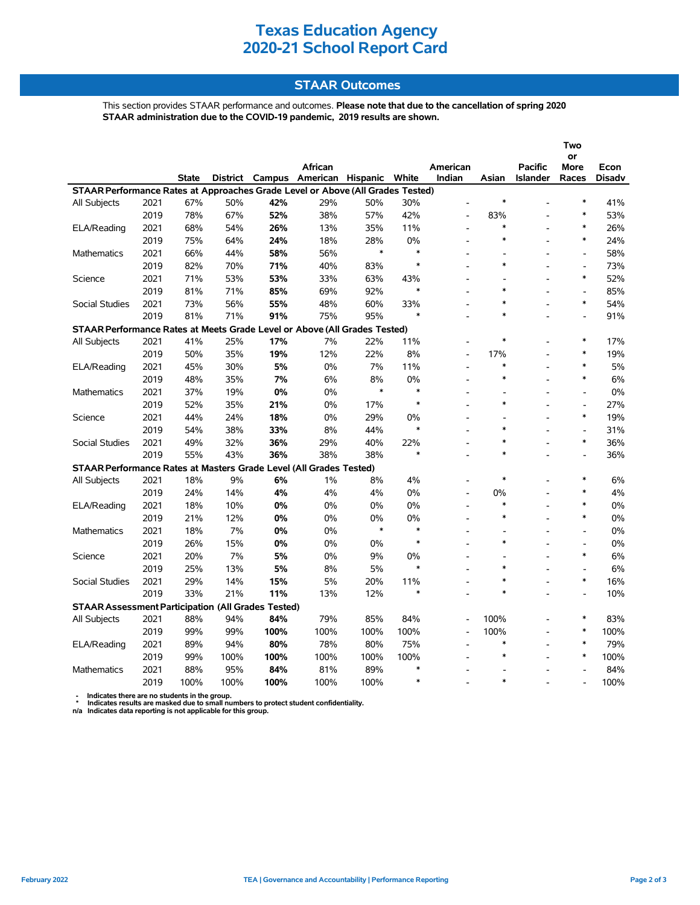## **Texas Education Agency 2020-21 School Report Card**

### **STAAR Outcomes**

This section provides STAAR performance and outcomes. **Please note that due to the cancellation of spring 2020 STAAR administration due to the COVID-19 pandemic, 2019 results are shown.**

|                                                                                                                                                                                                                    |      |      |      |      |            |            |               |                          |                          |                | Two                      |      |  |
|--------------------------------------------------------------------------------------------------------------------------------------------------------------------------------------------------------------------|------|------|------|------|------------|------------|---------------|--------------------------|--------------------------|----------------|--------------------------|------|--|
|                                                                                                                                                                                                                    |      |      |      |      |            |            |               |                          |                          |                | or                       |      |  |
|                                                                                                                                                                                                                    |      |      |      |      | African    |            |               | American                 |                          | <b>Pacific</b> | More                     | Econ |  |
| <b>District</b><br>Campus<br>American Hispanic<br>White<br>Indian<br>Asian<br>Races<br>State<br><b>Islander</b><br><b>Disadv</b><br>STAAR Performance Rates at Approaches Grade Level or Above (All Grades Tested) |      |      |      |      |            |            |               |                          |                          |                |                          |      |  |
| All Subjects                                                                                                                                                                                                       | 2021 | 67%  | 50%  | 42%  | 29%        | 50%        | 30%           |                          | $\ast$                   |                | $\ast$                   | 41%  |  |
|                                                                                                                                                                                                                    | 2019 | 78%  | 67%  | 52%  | 38%        | 57%        | 42%           |                          | 83%                      |                | $\ast$                   | 53%  |  |
| ELA/Reading                                                                                                                                                                                                        | 2021 | 68%  | 54%  | 26%  | 13%        | 35%        | 11%           | $\overline{a}$           | $\ast$                   |                | $\ast$                   | 26%  |  |
|                                                                                                                                                                                                                    | 2019 | 75%  | 64%  | 24%  | 18%        | 28%        | 0%            | $\overline{a}$           | $\ast$                   |                | $\ast$                   | 24%  |  |
| <b>Mathematics</b>                                                                                                                                                                                                 | 2021 | 66%  | 44%  | 58%  | 56%        | $\ast$     | $\ast$        |                          |                          |                | $\overline{\phantom{a}}$ | 58%  |  |
|                                                                                                                                                                                                                    | 2019 | 82%  | 70%  | 71%  | 40%        | 83%        | $\ast$        |                          | $\ast$                   |                | $\overline{\phantom{a}}$ | 73%  |  |
|                                                                                                                                                                                                                    | 2021 | 71%  | 53%  | 53%  |            |            |               |                          |                          | $\overline{a}$ | $\ast$                   | 52%  |  |
| Science                                                                                                                                                                                                            | 2019 | 81%  | 71%  | 85%  | 33%<br>69% | 63%<br>92% | 43%<br>$\ast$ |                          | $\ast$                   |                | $\overline{a}$           | 85%  |  |
|                                                                                                                                                                                                                    |      |      |      |      |            |            |               |                          | $\ast$                   |                | $\ast$                   |      |  |
| <b>Social Studies</b>                                                                                                                                                                                              | 2021 | 73%  | 56%  | 55%  | 48%        | 60%        | 33%<br>$\ast$ |                          | $\ast$                   |                |                          | 54%  |  |
|                                                                                                                                                                                                                    | 2019 | 81%  | 71%  | 91%  | 75%        | 95%        |               |                          |                          |                | $\overline{a}$           | 91%  |  |
| STAAR Performance Rates at Meets Grade Level or Above (All Grades Tested)                                                                                                                                          |      |      |      |      |            |            |               |                          | $\ast$                   |                | $\ast$                   |      |  |
| All Subjects                                                                                                                                                                                                       | 2021 | 41%  | 25%  | 17%  | 7%         | 22%        | 11%           | $\overline{\phantom{a}}$ |                          |                | $\ast$                   | 17%  |  |
|                                                                                                                                                                                                                    | 2019 | 50%  | 35%  | 19%  | 12%        | 22%        | 8%            |                          | 17%                      |                | $\ast$                   | 19%  |  |
| ELA/Reading                                                                                                                                                                                                        | 2021 | 45%  | 30%  | 5%   | 0%         | 7%         | 11%           |                          | $\ast$                   |                |                          | 5%   |  |
|                                                                                                                                                                                                                    | 2019 | 48%  | 35%  | 7%   | 6%         | 8%         | 0%            | $\overline{a}$           | $\ast$                   |                | $\ast$                   | 6%   |  |
| Mathematics                                                                                                                                                                                                        | 2021 | 37%  | 19%  | 0%   | 0%         | $\ast$     | $\ast$        |                          | ÷,                       |                | $\frac{1}{2}$            | 0%   |  |
|                                                                                                                                                                                                                    | 2019 | 52%  | 35%  | 21%  | 0%         | 17%        | $\ast$        |                          | $\ast$                   |                | $\overline{a}$           | 27%  |  |
| Science                                                                                                                                                                                                            | 2021 | 44%  | 24%  | 18%  | 0%         | 29%        | 0%            | $\overline{\phantom{a}}$ | $\overline{\phantom{a}}$ |                | $\ast$                   | 19%  |  |
|                                                                                                                                                                                                                    | 2019 | 54%  | 38%  | 33%  | 8%         | 44%        | $\ast$        |                          | $\ast$                   |                | $\frac{1}{2}$            | 31%  |  |
| <b>Social Studies</b>                                                                                                                                                                                              | 2021 | 49%  | 32%  | 36%  | 29%        | 40%        | 22%           |                          | $\ast$                   |                | $\ast$                   | 36%  |  |
|                                                                                                                                                                                                                    | 2019 | 55%  | 43%  | 36%  | 38%        | 38%        | $\ast$        |                          | $\ast$                   |                | $\overline{a}$           | 36%  |  |
| STAAR Performance Rates at Masters Grade Level (All Grades Tested)                                                                                                                                                 |      |      |      |      |            |            |               |                          |                          |                |                          |      |  |
| All Subjects                                                                                                                                                                                                       | 2021 | 18%  | 9%   | 6%   | 1%         | 8%         | 4%            | $\overline{\phantom{a}}$ | $\ast$                   |                | $\ast$                   | 6%   |  |
|                                                                                                                                                                                                                    | 2019 | 24%  | 14%  | 4%   | 4%         | 4%         | 0%            |                          | 0%                       |                | *                        | 4%   |  |
| ELA/Reading                                                                                                                                                                                                        | 2021 | 18%  | 10%  | 0%   | 0%         | 0%         | 0%            |                          | $\ast$                   |                | $\ast$                   | 0%   |  |
|                                                                                                                                                                                                                    | 2019 | 21%  | 12%  | 0%   | 0%         | 0%         | 0%            | $\overline{a}$           | $\ast$                   |                | $\ast$                   | 0%   |  |
| Mathematics                                                                                                                                                                                                        | 2021 | 18%  | 7%   | 0%   | $0\%$      | $\ast$     | $\ast$        |                          |                          |                | $\overline{a}$           | 0%   |  |
|                                                                                                                                                                                                                    | 2019 | 26%  | 15%  | 0%   | 0%         | 0%         | $\ast$        |                          | $\ast$                   |                | $\overline{a}$           | 0%   |  |
| Science                                                                                                                                                                                                            | 2021 | 20%  | 7%   | 5%   | 0%         | 9%         | 0%            |                          |                          |                | $\ast$                   | 6%   |  |
|                                                                                                                                                                                                                    | 2019 | 25%  | 13%  | 5%   | 8%         | 5%         | $\ast$        | $\overline{\phantom{a}}$ | $\ast$                   | ۰              | $\frac{1}{2}$            | 6%   |  |
| Social Studies                                                                                                                                                                                                     | 2021 | 29%  | 14%  | 15%  | 5%         | 20%        | 11%           |                          | $\ast$                   |                | $\ast$                   | 16%  |  |
|                                                                                                                                                                                                                    | 2019 | 33%  | 21%  | 11%  | 13%        | 12%        | $\ast$        |                          | $\ast$                   |                | $\overline{a}$           | 10%  |  |
| <b>STAAR Assessment Participation (All Grades Tested)</b>                                                                                                                                                          |      |      |      |      |            |            |               |                          |                          |                |                          |      |  |
| All Subjects                                                                                                                                                                                                       | 2021 | 88%  | 94%  | 84%  | 79%        | 85%        | 84%           | L,                       | 100%                     |                | $\ast$                   | 83%  |  |
|                                                                                                                                                                                                                    | 2019 | 99%  | 99%  | 100% | 100%       | 100%       | 100%          | $\overline{a}$           | 100%                     |                | $\ast$                   | 100% |  |
| ELA/Reading                                                                                                                                                                                                        | 2021 | 89%  | 94%  | 80%  | 78%        | 80%        | 75%           |                          | $\ast$                   |                | $\ast$                   | 79%  |  |
|                                                                                                                                                                                                                    | 2019 | 99%  | 100% | 100% | 100%       | 100%       | 100%          |                          | $\ast$                   |                | $\ast$                   | 100% |  |
| <b>Mathematics</b>                                                                                                                                                                                                 | 2021 | 88%  | 95%  | 84%  | 81%        | 89%        | $\ast$        |                          |                          |                |                          | 84%  |  |
|                                                                                                                                                                                                                    | 2019 | 100% | 100% | 100% | 100%       | 100%       | $\ast$        |                          | $\ast$                   |                |                          | 100% |  |

 **- Indicates there are no students in the group. \* Indicates results are masked due to small numbers to protect student confidentiality.**

**n/a Indicates data reporting is not applicable for this group.**